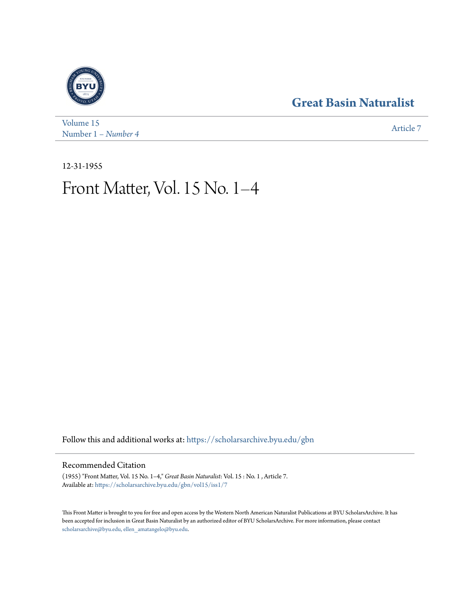## **[Great Basin Naturalist](https://scholarsarchive.byu.edu/gbn?utm_source=scholarsarchive.byu.edu%2Fgbn%2Fvol15%2Fiss1%2F7&utm_medium=PDF&utm_campaign=PDFCoverPages)**



[Volume 15](https://scholarsarchive.byu.edu/gbn/vol15?utm_source=scholarsarchive.byu.edu%2Fgbn%2Fvol15%2Fiss1%2F7&utm_medium=PDF&utm_campaign=PDFCoverPages) Number 1 – *Number 4* [Article 7](https://scholarsarchive.byu.edu/gbn/vol15/iss1/7?utm_source=scholarsarchive.byu.edu%2Fgbn%2Fvol15%2Fiss1%2F7&utm_medium=PDF&utm_campaign=PDFCoverPages)

12-31-1955

# Front Matter, Vol. 15 No. 1–4

Follow this and additional works at: [https://scholarsarchive.byu.edu/gbn](https://scholarsarchive.byu.edu/gbn?utm_source=scholarsarchive.byu.edu%2Fgbn%2Fvol15%2Fiss1%2F7&utm_medium=PDF&utm_campaign=PDFCoverPages)

### Recommended Citation

(1955) "Front Matter, Vol. 15 No. 1–4," *Great Basin Naturalist*: Vol. 15 : No. 1 , Article 7. Available at: [https://scholarsarchive.byu.edu/gbn/vol15/iss1/7](https://scholarsarchive.byu.edu/gbn/vol15/iss1/7?utm_source=scholarsarchive.byu.edu%2Fgbn%2Fvol15%2Fiss1%2F7&utm_medium=PDF&utm_campaign=PDFCoverPages)

This Front Matter is brought to you for free and open access by the Western North American Naturalist Publications at BYU ScholarsArchive. It has been accepted for inclusion in Great Basin Naturalist by an authorized editor of BYU ScholarsArchive. For more information, please contact [scholarsarchive@byu.edu, ellen\\_amatangelo@byu.edu.](mailto:scholarsarchive@byu.edu,%20ellen_amatangelo@byu.edu)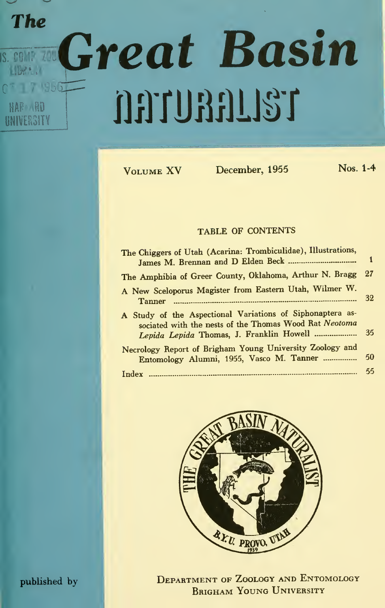# The IS. COMPLETE  $U$ 1956 The **Great Basin** jiirrumum

f

Volume XV December, <sup>1955</sup> Nos. 1-4

#### TABLE OF CONTENTS

| The Chiggers of Utah (Acarina: Trombiculidae), Illustrations,                                                                                                       |     |
|---------------------------------------------------------------------------------------------------------------------------------------------------------------------|-----|
| The Amphibia of Greer County, Oklahoma, Arthur N. Bragg 27                                                                                                          |     |
| A New Sceloporus Magister from Eastern Utah, Wilmer W.<br><b>Tanner</b>                                                                                             | -32 |
| A Study of the Aspectional Variations of Siphonaptera as-<br>sociated with the nests of the Thomas Wood Rat Neotoma<br>Lepida Lepida Thomas, J. Franklin Howell  35 |     |
| Necrology Report of Brigham Young University Zoology and<br>Entomology Alumni, 1955, Vasco M. Tanner  50                                                            |     |
|                                                                                                                                                                     | 55  |



published by DEPARTMENT OF ZOOLOGY AND ENTOMOLOGY BRIGHAM YOUNG UNIVERSITY